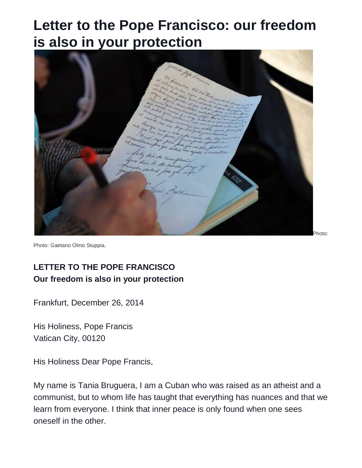## **Letter to the Pope Francisco: our freedom is also in your protection**



Photo: Gaetano Olmo Stuppia.

## **LETTER TO THE POPE FRANCISCO Our freedom is also in your protection**

Frankfurt, December 26, 2014

His Holiness, Pope Francis Vatican City, 00120

His Holiness Dear Pope Francis,

My name is Tania Bruguera, I am a Cuban who was raised as an atheist and a communist, but to whom life has taught that everything has nuances and that we learn from everyone. I think that inner peace is only found when one sees oneself in the other.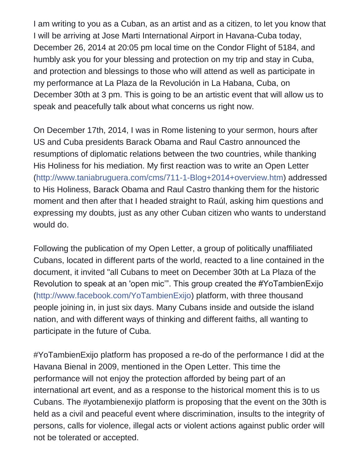I am writing to you as a Cuban, as an artist and as a citizen, to let you know that I will be arriving at Jose Marti International Airport in Havana-Cuba today, December 26, 2014 at 20:05 pm local time on the Condor Flight of 5184, and humbly ask you for your blessing and protection on my trip and stay in Cuba, and protection and blessings to those who will attend as well as participate in my performance at La Plaza de la Revolución in La Habana, Cuba, on December 30th at 3 pm. This is going to be an artistic event that will allow us to speak and peacefully talk about what concerns us right now.

On December 17th, 2014, I was in Rome listening to your sermon, hours after US and Cuba presidents Barack Obama and Raul Castro announced the resumptions of diplomatic relations between the two countries, while thanking His Holiness for his mediation. My first reaction was to write an Open Letter [\(http://www.taniabruguera.com/cms/711-1-Blog+2014+overview.htm\)](http://l.facebook.com/l.php?u=http%3A%2F%2Fwww.taniabruguera.com%2Fcms%2F711-1-Blog%2B2014%2Boverview.htm&h=UAQH-p7pw&s=1) addressed to His Holiness, Barack Obama and Raul Castro thanking them for the historic moment and then after that I headed straight to Raúl, asking him questions and expressing my doubts, just as any other Cuban citizen who wants to understand would do.

Following the publication of my Open Letter, a group of politically unaffiliated Cubans, located in different parts of the world, reacted to a line contained in the document, it invited "all Cubans to meet on December 30th at La Plaza of the Revolution to speak at an 'open mic'". This group created the #YoTambienExijo [\(http://www.facebook.com/YoTambienExijo\)](http://www.facebook.com/YoTambienExijo) platform, with three thousand people joining in, in just six days. Many Cubans inside and outside the island nation, and with different ways of thinking and different faiths, all wanting to participate in the future of Cuba.

#YoTambienExijo platform has proposed a re-do of the performance I did at the Havana Bienal in 2009, mentioned in the Open Letter. This time the performance will not enjoy the protection afforded by being part of an international art event, and as a response to the historical moment this is to us Cubans. The #yotambienexijo platform is proposing that the event on the 30th is held as a civil and peaceful event where discrimination, insults to the integrity of persons, calls for violence, illegal acts or violent actions against public order will not be tolerated or accepted.